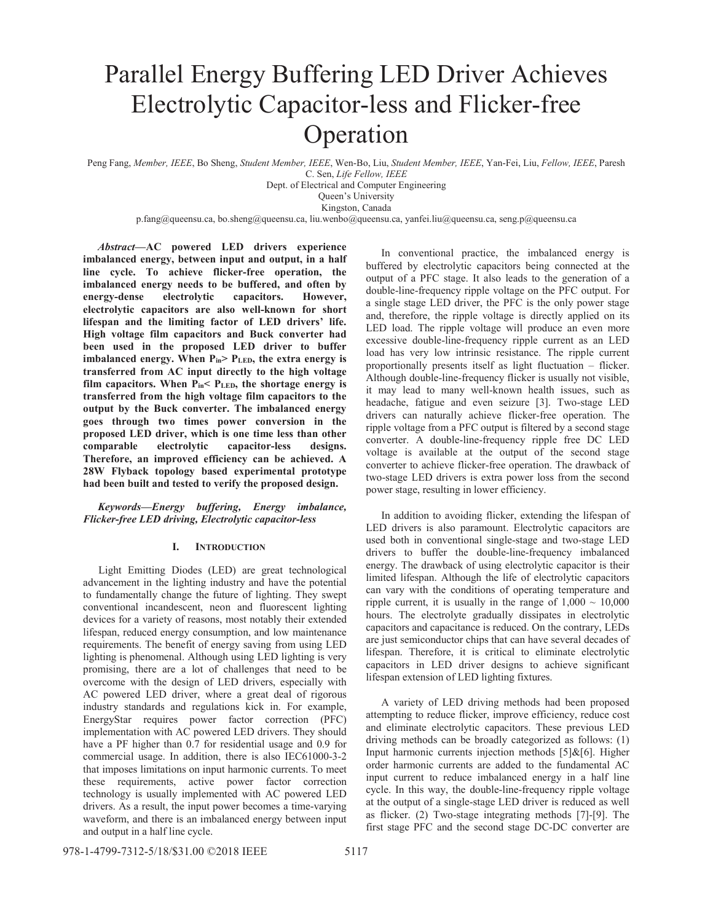# Parallel Energy Buffering LED Driver Achieves Electrolytic Capacitor-less and Flicker-free Operation

Peng Fang, *Member, IEEE*, Bo Sheng, *Student Member, IEEE*, Wen-Bo, Liu, *Student Member, IEEE*, Yan-Fei, Liu, *Fellow, IEEE*, Paresh C. Sen, *Life Fellow, IEEE*

Dept. of Electrical and Computer Engineering

Queen's University Kingston, Canada

p.fang@queensu.ca, bo.sheng@queensu.ca, liu.wenbo@queensu.ca, yanfei.liu@queensu.ca, seng.p@queensu.ca

*Abstract***—AC powered LED drivers experience imbalanced energy, between input and output, in a half line cycle. To achieve flicker-free operation, the imbalanced energy needs to be buffered, and often by energy-dense electrolytic capacitors. However, electrolytic capacitors are also well-known for short lifespan and the limiting factor of LED drivers' life. High voltage film capacitors and Buck converter had been used in the proposed LED driver to buffer imbalanced energy. When Pin> PLED, the extra energy is transferred from AC input directly to the high voltage**  film capacitors. When P<sub>in</sub>< P<sub>LED</sub>, the shortage energy is **transferred from the high voltage film capacitors to the output by the Buck converter. The imbalanced energy goes through two times power conversion in the proposed LED driver, which is one time less than other comparable electrolytic capacitor-less designs. Therefore, an improved efficiency can be achieved. A 28W Flyback topology based experimental prototype had been built and tested to verify the proposed design.**

## *Keywords—Energy buffering, Energy imbalance, Flicker-free LED driving, Electrolytic capacitor-less*

### **I. INTRODUCTION**

Light Emitting Diodes (LED) are great technological advancement in the lighting industry and have the potential to fundamentally change the future of lighting. They swept conventional incandescent, neon and fluorescent lighting devices for a variety of reasons, most notably their extended lifespan, reduced energy consumption, and low maintenance requirements. The benefit of energy saving from using LED lighting is phenomenal. Although using LED lighting is very promising, there are a lot of challenges that need to be overcome with the design of LED drivers, especially with AC powered LED driver, where a great deal of rigorous industry standards and regulations kick in. For example, EnergyStar requires power factor correction (PFC) implementation with AC powered LED drivers. They should have a PF higher than 0.7 for residential usage and 0.9 for commercial usage. In addition, there is also IEC61000-3-2 that imposes limitations on input harmonic currents. To meet these requirements, active power factor correction technology is usually implemented with AC powered LED drivers. As a result, the input power becomes a time-varying waveform, and there is an imbalanced energy between input and output in a half line cycle.

In conventional practice, the imbalanced energy is buffered by electrolytic capacitors being connected at the output of a PFC stage. It also leads to the generation of a double-line-frequency ripple voltage on the PFC output. For a single stage LED driver, the PFC is the only power stage and, therefore, the ripple voltage is directly applied on its LED load. The ripple voltage will produce an even more excessive double-line-frequency ripple current as an LED load has very low intrinsic resistance. The ripple current proportionally presents itself as light fluctuation – flicker. Although double-line-frequency flicker is usually not visible, it may lead to many well-known health issues, such as headache, fatigue and even seizure [3]. Two-stage LED drivers can naturally achieve flicker-free operation. The ripple voltage from a PFC output is filtered by a second stage converter. A double-line-frequency ripple free DC LED voltage is available at the output of the second stage converter to achieve flicker-free operation. The drawback of two-stage LED drivers is extra power loss from the second power stage, resulting in lower efficiency.

In addition to avoiding flicker, extending the lifespan of LED drivers is also paramount. Electrolytic capacitors are used both in conventional single-stage and two-stage LED drivers to buffer the double-line-frequency imbalanced energy. The drawback of using electrolytic capacitor is their limited lifespan. Although the life of electrolytic capacitors can vary with the conditions of operating temperature and ripple current, it is usually in the range of  $1,000 \sim 10,000$ hours. The electrolyte gradually dissipates in electrolytic capacitors and capacitance is reduced. On the contrary, LEDs are just semiconductor chips that can have several decades of lifespan. Therefore, it is critical to eliminate electrolytic capacitors in LED driver designs to achieve significant lifespan extension of LED lighting fixtures.

A variety of LED driving methods had been proposed attempting to reduce flicker, improve efficiency, reduce cost and eliminate electrolytic capacitors. These previous LED driving methods can be broadly categorized as follows: (1) Input harmonic currents injection methods [5]&[6]. Higher order harmonic currents are added to the fundamental AC input current to reduce imbalanced energy in a half line cycle. In this way, the double-line-frequency ripple voltage at the output of a single-stage LED driver is reduced as well as flicker. (2) Two-stage integrating methods [7]-[9]. The first stage PFC and the second stage DC-DC converter are

978-1-4799-7312-5/18/\$31.00 ©2018 IEEE 5117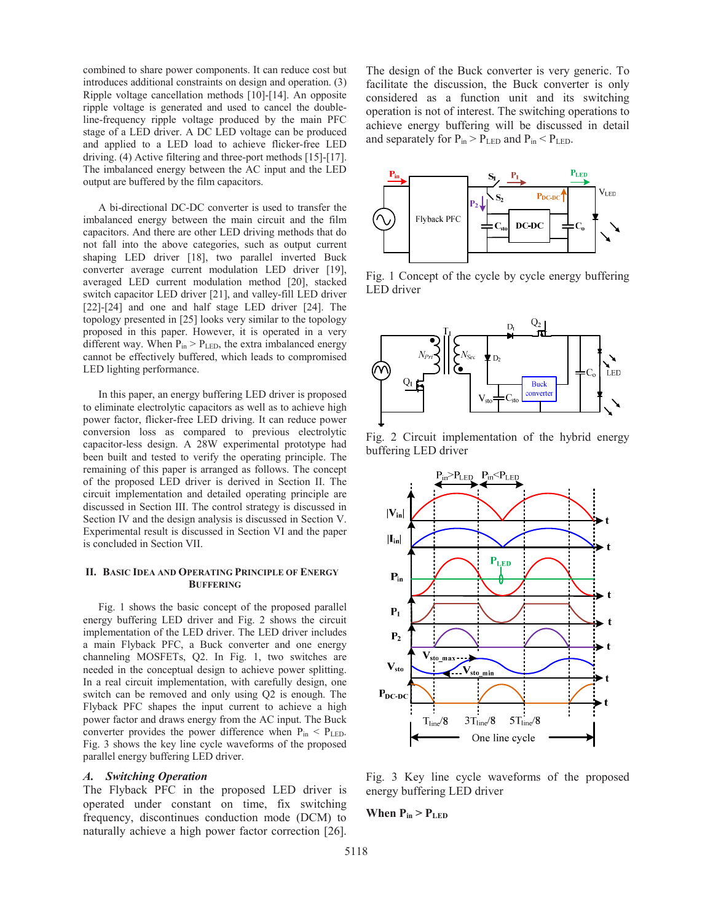combined to share power components. It can reduce cost but introduces additional constraints on design and operation. (3) Ripple voltage cancellation methods [10]-[14]. An opposite ripple voltage is generated and used to cancel the doubleline-frequency ripple voltage produced by the main PFC stage of a LED driver. A DC LED voltage can be produced and applied to a LED load to achieve flicker-free LED driving. (4) Active filtering and three-port methods [15]-[17]. The imbalanced energy between the AC input and the LED output are buffered by the film capacitors.

A bi-directional DC-DC converter is used to transfer the imbalanced energy between the main circuit and the film capacitors. And there are other LED driving methods that do not fall into the above categories, such as output current shaping LED driver [18], two parallel inverted Buck converter average current modulation LED driver [19], averaged LED current modulation method [20], stacked switch capacitor LED driver [21], and valley-fill LED driver [22]-[24] and one and half stage LED driver [24]. The topology presented in [25] looks very similar to the topology proposed in this paper. However, it is operated in a very different way. When  $P_{in} > P_{LED}$ , the extra imbalanced energy cannot be effectively buffered, which leads to compromised LED lighting performance.

In this paper, an energy buffering LED driver is proposed to eliminate electrolytic capacitors as well as to achieve high power factor, flicker-free LED driving. It can reduce power conversion loss as compared to previous electrolytic capacitor-less design. A 28W experimental prototype had been built and tested to verify the operating principle. The remaining of this paper is arranged as follows. The concept of the proposed LED driver is derived in Section II. The circuit implementation and detailed operating principle are discussed in Section III. The control strategy is discussed in Section IV and the design analysis is discussed in Section V. Experimental result is discussed in Section VI and the paper is concluded in Section VII.

#### **II. BASIC IDEA AND OPERATING PRINCIPLE OF ENERGY BUFFERING**

Fig. 1 shows the basic concept of the proposed parallel energy buffering LED driver and Fig. 2 shows the circuit implementation of the LED driver. The LED driver includes a main Flyback PFC, a Buck converter and one energy channeling MOSFETs, Q2. In Fig. 1, two switches are needed in the conceptual design to achieve power splitting. In a real circuit implementation, with carefully design, one switch can be removed and only using Q2 is enough. The Flyback PFC shapes the input current to achieve a high power factor and draws energy from the AC input. The Buck converter provides the power difference when  $P_{in} < P_{LED}$ . Fig. 3 shows the key line cycle waveforms of the proposed parallel energy buffering LED driver.

### *A. Switching Operation*

The Flyback PFC in the proposed LED driver is operated under constant on time, fix switching frequency, discontinues conduction mode (DCM) to naturally achieve a high power factor correction [26].

The design of the Buck converter is very generic. To facilitate the discussion, the Buck converter is only considered as a function unit and its switching operation is not of interest. The switching operations to achieve energy buffering will be discussed in detail and separately for  $P_{in} > P_{LED}$  and  $P_{in} < P_{LED}$ .



Fig. 1 Concept of the cycle by cycle energy buffering LED driver



Fig. 2 Circuit implementation of the hybrid energy buffering LED driver



Fig. 3 Key line cycle waveforms of the proposed energy buffering LED driver

## **When**  $P_{in} > P_{LED}$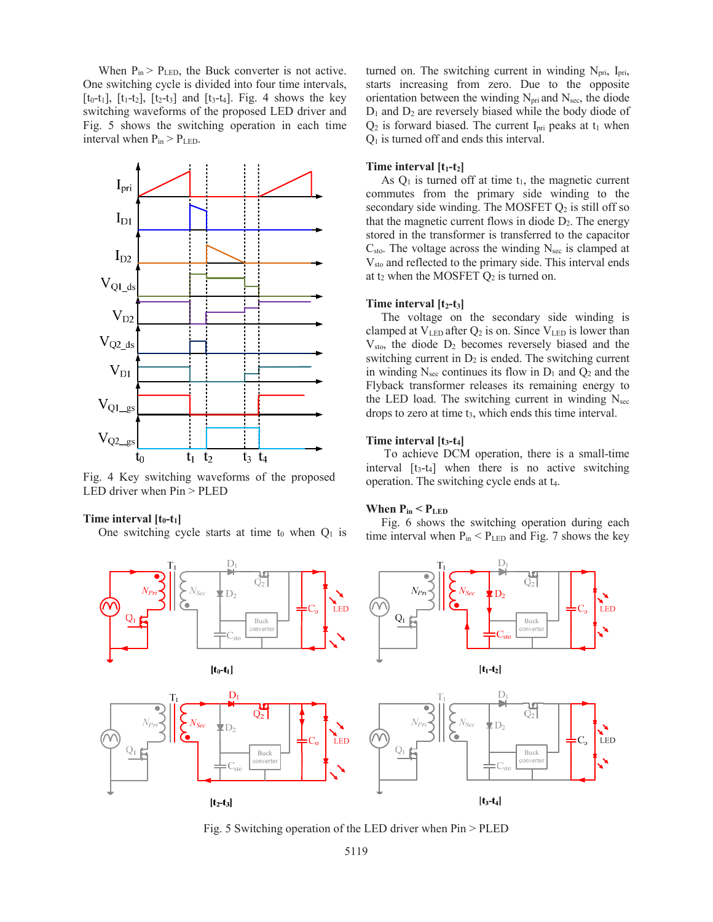When  $P_{in}$  >  $P_{LED}$ , the Buck converter is not active. One switching cycle is divided into four time intervals,  $[t_0-t_1]$ ,  $[t_1-t_2]$ ,  $[t_2-t_3]$  and  $[t_3-t_4]$ . Fig. 4 shows the key switching waveforms of the proposed LED driver and Fig. 5 shows the switching operation in each time interval when  $P_{in} > P_{LED}$ .



Fig. 4 Key switching waveforms of the proposed LED driver when Pin > PLED

## Time interval [t<sub>0</sub>-t<sub>1</sub>]

One switching cycle starts at time t<sub>0</sub> when  $Q_1$  is

turned on. The switching current in winding  $N_{\text{pri}}$ , I<sub>pri</sub>, starts increasing from zero. Due to the opposite orientation between the winding  $N_{\text{pri}}$  and  $N_{\text{sec}}$ , the diode  $D_1$  and  $D_2$  are reversely biased while the body diode of  $Q_2$  is forward biased. The current I<sub>pri</sub> peaks at t<sub>1</sub> when  $Q<sub>1</sub>$  is turned off and ends this interval.

## Time interval [t<sub>1</sub>-t<sub>2</sub>]

As  $Q_1$  is turned off at time  $t_1$ , the magnetic current commutes from the primary side winding to the secondary side winding. The MOSFET  $Q_2$  is still off so that the magnetic current flows in diode  $D_2$ . The energy stored in the transformer is transferred to the capacitor  $C_{\text{sto}}$ . The voltage across the winding  $N_{\text{sec}}$  is clamped at Vsto and reflected to the primary side. This interval ends at  $t_2$  when the MOSFET  $Q_2$  is turned on.

#### **Time interval**  $[t_2-t_3]$

The voltage on the secondary side winding is clamped at  $V_{LED}$  after  $Q_2$  is on. Since  $V_{LED}$  is lower than Vsto, the diode D2 becomes reversely biased and the switching current in  $D_2$  is ended. The switching current in winding  $N<sub>sec</sub>$  continues its flow in  $D_1$  and  $Q_2$  and the Flyback transformer releases its remaining energy to the LED load. The switching current in winding  $N<sub>sec</sub>$ drops to zero at time t<sub>3</sub>, which ends this time interval.

#### **Time interval [t3-t4]**

 To achieve DCM operation, there is a small-time interval  $[t<sub>3</sub>-t<sub>4</sub>]$  when there is no active switching operation. The switching cycle ends at t4.

## **When Pin < PLED**

Fig. 6 shows the switching operation during each time interval when  $P_{in}$  <  $P_{LED}$  and Fig. 7 shows the key



Fig. 5 Switching operation of the LED driver when Pin > PLED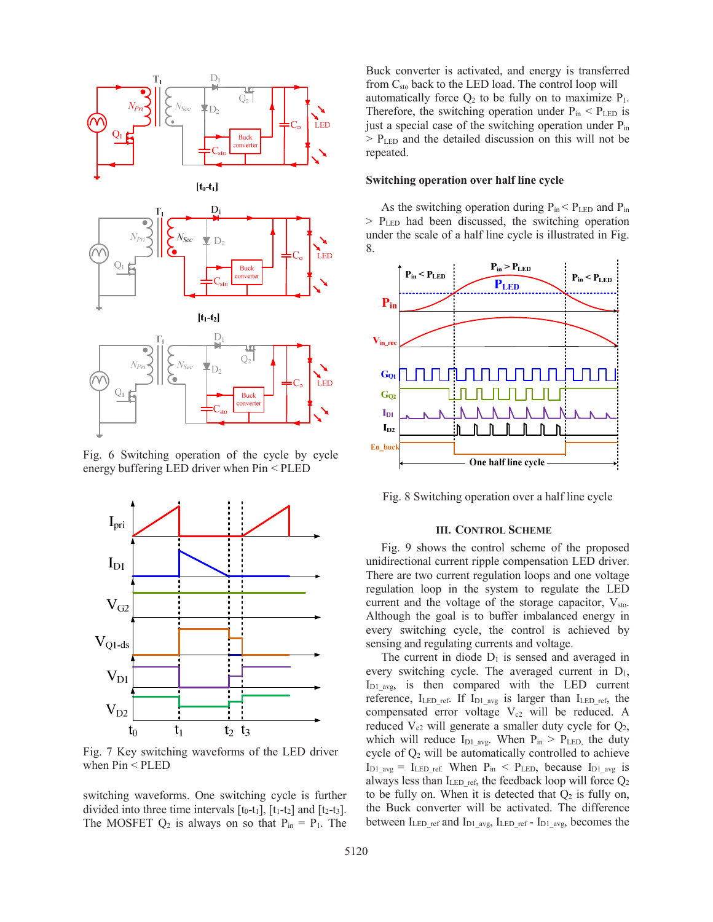





Fig. 6 Switching operation of the cycle by cycle energy buffering LED driver when Pin < PLED



Fig. 7 Key switching waveforms of the LED driver when Pin < PLED

switching waveforms. One switching cycle is further divided into three time intervals  $[t_0-t_1]$ ,  $[t_1-t_2]$  and  $[t_2-t_3]$ . The MOSFET  $Q_2$  is always on so that  $P_{in} = P_1$ . The Buck converter is activated, and energy is transferred from Csto back to the LED load. The control loop will automatically force  $Q_2$  to be fully on to maximize  $P_1$ . Therefore, the switching operation under  $P_{in} < P_{LED}$  is just a special case of the switching operation under  $P_{in}$  $>$  P<sub>LED</sub> and the detailed discussion on this will not be repeated.

#### **Switching operation over half line cycle**

As the switching operation during  $P_{in}$  <  $P_{LED}$  and  $P_{in}$  $>$  P<sub>LED</sub> had been discussed, the switching operation under the scale of a half line cycle is illustrated in Fig. 8.



Fig. 8 Switching operation over a half line cycle

## **III. CONTROL SCHEME**

Fig. 9 shows the control scheme of the proposed unidirectional current ripple compensation LED driver. There are two current regulation loops and one voltage regulation loop in the system to regulate the LED current and the voltage of the storage capacitor,  $V_{sto}$ . Although the goal is to buffer imbalanced energy in every switching cycle, the control is achieved by sensing and regulating currents and voltage.

The current in diode  $D_1$  is sensed and averaged in every switching cycle. The averaged current in  $D_1$ ,  $I_{D1_{avg}}$ , is then compared with the LED current reference,  $I_{LED ref.}$  If  $I_{D1avg}$  is larger than  $I_{LED ref.}$  the compensated error voltage  $V_{c2}$  will be reduced. A reduced  $V_{c2}$  will generate a smaller duty cycle for  $Q_2$ , which will reduce  $I_{D1\text{ avg}}$ . When  $P_{in} > P_{LED}$ , the duty cycle of  $Q_2$  will be automatically controlled to achieve  $I_{D1\_avg} = I_{LED\_ref.}$  When  $P_{in} < P_{LED}$ , because  $I_{D1\_avg}$  is always less than ILED\_ref, the feedback loop will force Q2 to be fully on. When it is detected that  $Q_2$  is fully on, the Buck converter will be activated. The difference between  $I_{LED}$  ref and  $I_{D1}$  avg,  $I_{LED}$  ref -  $I_{D1}$  avg, becomes the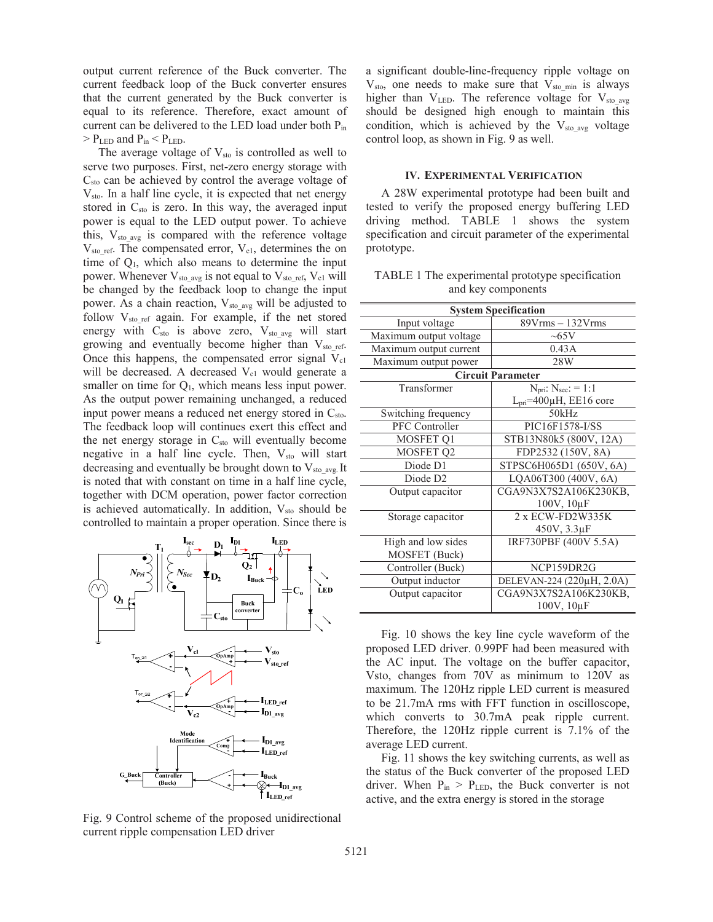output current reference of the Buck converter. The current feedback loop of the Buck converter ensures that the current generated by the Buck converter is equal to its reference. Therefore, exact amount of current can be delivered to the LED load under both  $P_{in}$  $>$  P<sub>LED</sub> and P<sub>in</sub>  $<$  P<sub>LED</sub>.

The average voltage of  $V_{sto}$  is controlled as well to serve two purposes. First, net-zero energy storage with  $C_{\rm sto}$  can be achieved by control the average voltage of Vsto. In a half line cycle, it is expected that net energy stored in  $C_{\text{sto}}$  is zero. In this way, the averaged input power is equal to the LED output power. To achieve this,  $V_{sto}$  avg is compared with the reference voltage  $V_{sto}$  ref. The compensated error,  $V_{c1}$ , determines the on time of Q1, which also means to determine the input power. Whenever  $V_{sto\_avg}$  is not equal to  $V_{sto\_ref}$ ,  $V_{c1}$  will be changed by the feedback loop to change the input power. As a chain reaction,  $V_{sto}$  avg will be adjusted to follow  $V_{sto\_ref}$  again. For example, if the net stored energy with  $C_{sto}$  is above zero,  $V_{sto\_avg}$  will start growing and eventually become higher than  $V_{sto\_ref.}$ Once this happens, the compensated error signal  $V_{c1}$ will be decreased. A decreased  $V_{c1}$  would generate a smaller on time for  $Q_1$ , which means less input power. As the output power remaining unchanged, a reduced input power means a reduced net energy stored in C<sub>sto</sub>. The feedback loop will continues exert this effect and the net energy storage in  $C_{sto}$  will eventually become negative in a half line cycle. Then,  $V_{sto}$  will start decreasing and eventually be brought down to  $V_{sto}$ <sub>avg.</sub> It is noted that with constant on time in a half line cycle, together with DCM operation, power factor correction is achieved automatically. In addition,  $V_{sto}$  should be controlled to maintain a proper operation. Since there is



Fig. 9 Control scheme of the proposed unidirectional current ripple compensation LED driver

a significant double-line-frequency ripple voltage on  $V_{\text{sto}}$ , one needs to make sure that  $V_{\text{sto}}$  min is always higher than  $V_{LED}$ . The reference voltage for  $V_{sto}$  avg should be designed high enough to maintain this condition, which is achieved by the  $V_{sto}$  avg voltage control loop, as shown in Fig. 9 as well.

## **IV. EXPERIMENTAL VERIFICATION**

A 28W experimental prototype had been built and tested to verify the proposed energy buffering LED driving method. TABLE 1 shows the system specification and circuit parameter of the experimental prototype.

TABLE 1 The experimental prototype specification and key components

| <b>System Specification</b> |                                  |
|-----------------------------|----------------------------------|
| Input voltage               | $89V$ rms $-132V$ rms            |
| Maximum output voltage      | $\sim 65V$                       |
| Maximum output current      | 0.43A                            |
| Maximum output power        | 28W                              |
| <b>Circuit Parameter</b>    |                                  |
| Transformer                 | $N_{pri}: N_{sec}: = 1:1$        |
|                             | $L_{pri} = 400\mu H$ , EE16 core |
| Switching frequency         | 50kHz                            |
| PFC Controller              | PIC16F1578-I/SS                  |
| MOSFET Q1                   | STB13N80k5 (800V, 12A)           |
| MOSFET Q2                   | FDP2532 (150V, 8A)               |
| Diode D1                    | STPSC6H065D1 (650V, 6A)          |
| Diode D <sub>2</sub>        | LQA06T300 (400V, 6A)             |
| Output capacitor            | CGA9N3X7S2A106K230KB,            |
|                             | 100V, 10µF                       |
| Storage capacitor           | 2 x ECW-FD2W335K                 |
|                             | 450V, 3.3µF                      |
| High and low sides          | IRF730PBF (400V 5.5A)            |
| MOSFET (Buck)               |                                  |
| Controller (Buck)           | NCP159DR2G                       |
| Output inductor             | DELEVAN-224 (220µH, 2.0A)        |
| Output capacitor            | CGA9N3X7S2A106K230KB,            |
|                             | 100V, 10µF                       |

Fig. 10 shows the key line cycle waveform of the proposed LED driver. 0.99PF had been measured with the AC input. The voltage on the buffer capacitor, Vsto, changes from 70V as minimum to 120V as maximum. The 120Hz ripple LED current is measured to be 21.7mA rms with FFT function in oscilloscope, which converts to 30.7mA peak ripple current. Therefore, the 120Hz ripple current is 7.1% of the average LED current.

Fig. 11 shows the key switching currents, as well as the status of the Buck converter of the proposed LED driver. When  $P_{in}$  >  $P_{LED}$ , the Buck converter is not active, and the extra energy is stored in the storage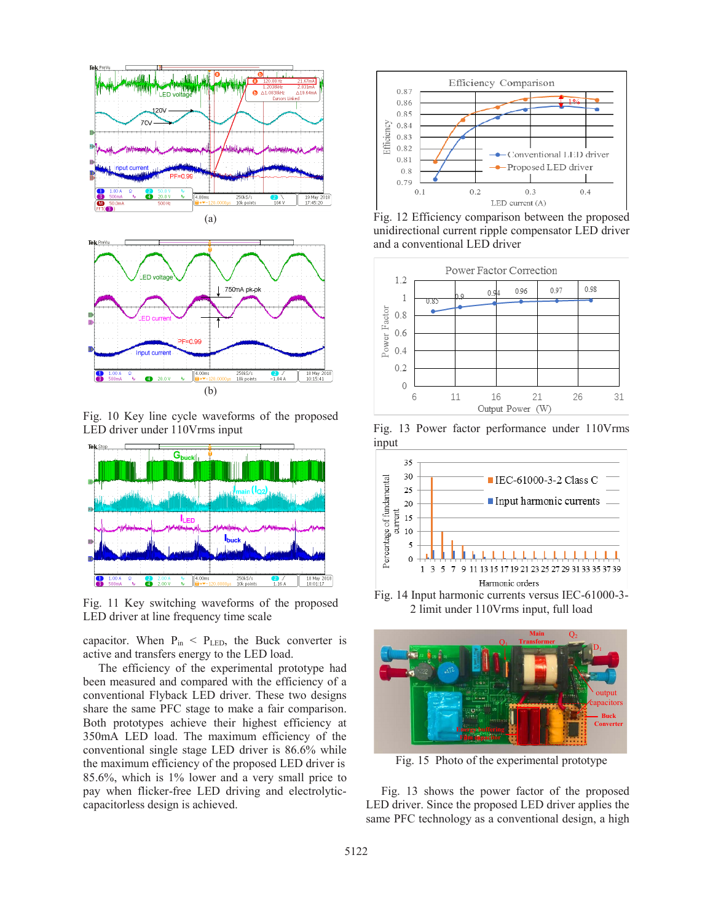



Fig. 10 Key line cycle waveforms of the proposed LED driver under 110Vrms input



Fig. 11 Key switching waveforms of the proposed LED driver at line frequency time scale

capacitor. When  $P_{in}$  <  $P_{LED}$ , the Buck converter is active and transfers energy to the LED load.

The efficiency of the experimental prototype had been measured and compared with the efficiency of a conventional Flyback LED driver. These two designs share the same PFC stage to make a fair comparison. Both prototypes achieve their highest efficiency at 350mA LED load. The maximum efficiency of the conventional single stage LED driver is 86.6% while the maximum efficiency of the proposed LED driver is 85.6%, which is 1% lower and a very small price to pay when flicker-free LED driving and electrolyticcapacitorless design is achieved.



Fig. 12 Efficiency comparison between the proposed unidirectional current ripple compensator LED driver and a conventional LED driver



Fig. 13 Power factor performance under 110Vrms input



2 limit under 110Vrms input, full load



Fig. 15 Photo of the experimental prototype

Fig. 13 shows the power factor of the proposed LED driver. Since the proposed LED driver applies the same PFC technology as a conventional design, a high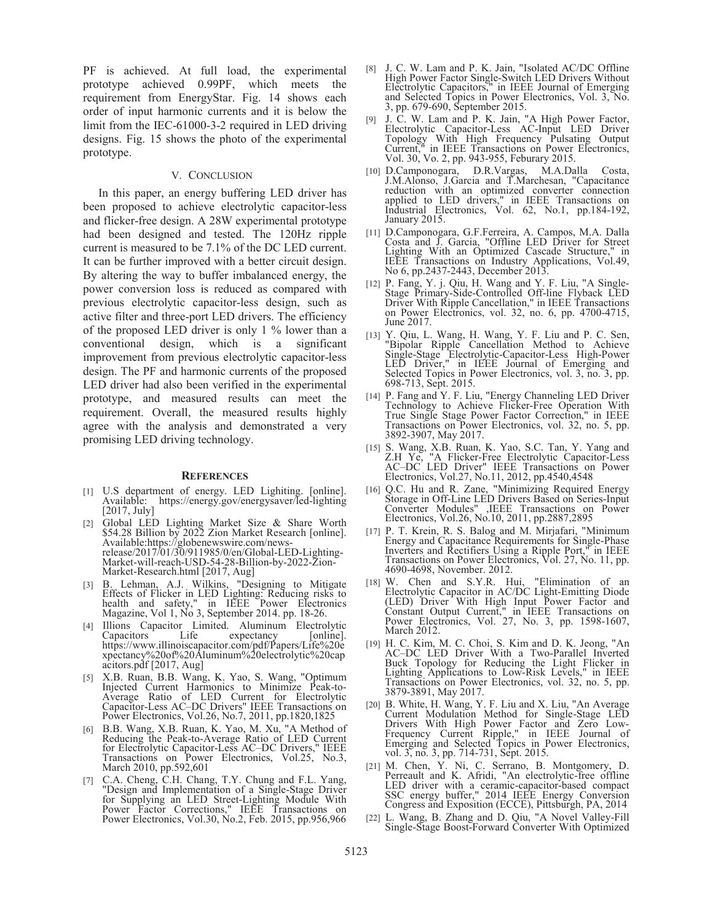PF is achieved. At full load, the experimental prototype achieved 0.99PF, which meets the requirement from EnergyStar. Fig. 14 shows each order of input harmonic currents and it is below the limit from the IEC-61000-3-2 required in LED driving designs. Fig. 15 shows the photo of the experimental prototype.

#### V. CONCLUSION

In this paper, an energy buffering LED driver has been proposed to achieve electrolytic capacitor-less and flicker-free design. A 28W experimental prototype had been designed and tested. The 120Hz ripple current is measured to be 7.1% of the DC LED current. It can be further improved with a better circuit design. By altering the way to buffer imbalanced energy, the power conversion loss is reduced as compared with previous electrolytic capacitor-less design, such as active filter and three-port LED drivers. The efficiency of the proposed LED driver is only 1 % lower than a conventional design, which is a significant improvement from previous electrolytic capacitor-less design. The PF and harmonic currents of the proposed LED driver had also been verified in the experimental prototype, and measured results can meet the requirement. Overall, the measured results highly agree with the analysis and demonstrated a very promising LED driving technology.

#### **REFERENCES**

- [1] U.S department of energy. LED Lighiting. [online]. Available: https://energy.gov/energysaver/led-lighting [2017, July]
- [2] Global LED Lighting Market Size & Share Worth \$54.28 Billion by 2022 Zion Market Research [online]. Available:https://globenewswire.com/newsrelease/2017/01/30/911985/0/en/Global-LED-Lighting-Market-will-reach-USD-54-28-Billion-by-2022-Zion-Market-Research.html [2017, Aug]
- [3] B. Lehman, A.J. Wilkins, "Designing to Mitigate Effects of Flicker in LED Lighting: Reducing risks to health and safety," in IEEE Power Electronics Magazine, Vol 1, No 3, September 2014. pp. 18-26.
- [4] Illions Capacitor Limited. Aluminum Electrolytic Capacitors Life expectancy [online]. https://www.illinoiscapacitor.com/pdf/Papers/Life%20e xpectancy%20of%20Aluminum%20electrolytic%20cap acitors.pdf [2017, Aug]
- [5] X.B. Ruan, B.B. Wang, K. Yao, S. Wang, "Optimum Injected Current Harmonics to Minimize Peak-to-Average Ratio of LED Current for Electrolytic Capacitor-Less AC–DC Drivers" IEEE Transactions on Power Electronics, Vol.26, No.7, 2011, pp.1820,1825
- [6] B.B. Wang, X.B. Ruan, K. Yao, M. Xu, "A Method of Reducing the Peak-to-Average Ratio of LED Current for Electrolytic Capacitor-Less AC–DC Drivers," IEEE Transactions on Power Electronics, Vol.25, No.3, March 2010, pp.592,601
- [7] C.A. Cheng, C.H. Chang, T.Y. Chung and F.L. Yang, "Design and Implementation of a Single-Stage Driver for Supplying an LED Street-Lighting Module With Power Factor Corrections," IEEE Transactions on Power Electronics, Vol.30, No.2, Feb. 2015, pp.956,966
- [8] J. C. W. Lam and P. K. Jain, "Isolated AC/DC Offline High Power Factor Single-Switch LED Drivers Without Electrolytic Capacitors," in IEEE Journal of Emerging and Selected Topics in Power Electronics, Vol. 3, No. 3, pp. 679-690, September 2015.
- [9] J. C. W. Lam and P. K. Jain, "A High Power Factor, Electrolytic Capacitor-Less AC-Input LED Driver Topology With High Frequency Pulsating Output Current," in IEEE Transactions on Power Electronics, Vol. 30, Vo. 2, pp. 943-955, Feburary 2015.
- [10] D.Camponogara, D.R.Vargas, M.A.Dalla Costa, J.M.Alonso, J.Garcia and T.Marchesan, "Capacitance reduction with an optimized converter connection applied to LED drivers," in IEEE Transactions on Industrial Electronics, Vol. 62, No.1, pp.184-192, January 2015.
- [11] D.Camponogara, G.F.Ferreira, A. Campos, M.A. Dalla Costa and J. Garcia, "Offline LED Driver for Street Lighting With an Optimized Cascade Structure," in IEEE Transactions on Industry Applications, Vol.49, No 6, pp.2437-2443, December 2013.
- [12] P. Fang, Y. j. Qiu, H. Wang and Y. F. Liu, "A Single-Stage Primary-Side-Controlled Off-line Flyback LED Driver With Ripple Cancellation," in IEEE Transactions on Power Electronics, vol. 32, no. 6, pp. 4700-4715, June 2017.
- [13] Y. Qiu, L. Wang, H. Wang, Y. F. Liu and P. C. Sen, "Bipolar Ripple Cancellation Method to Achieve Single-Stage Electrolytic-Capacitor-Less High-Power LED Driver," in IEEE Journal of Emerging and Selected Topics in Power Electronics, vol. 3, no. 3, pp. 698-713, Sept. 2015.
- [14] P. Fang and Y. F. Liu, "Energy Channeling LED Driver Technology to Achieve Flicker-Free Operation With True Single Stage Power Factor Correction," in IEEE Transactions on Power Electronics, vol. 32, no. 5, pp. 3892-3907, May 2017.
- [15] S. Wang, X.B. Ruan, K. Yao, S.C. Tan, Y. Yang and Z.H Ye, "A Flicker-Free Electrolytic Capacitor-Less AC–DC LED Driver" IEEE Transactions on Power Electronics, Vol.27, No.11, 2012, pp.4540,4548
- [16] Q.C. Hu and R. Zane, "Minimizing Required Energy Storage in Off-Line LED Drivers Based on Series-Input Converter Modules" ,IEEE Transactions on Power Electronics, Vol.26, No.10, 2011, pp.2887,2895
- [17] P. T. Krein, R. S. Balog and M. Mirjafari, "Minimum Energy and Capacitance Requirements for Single-Phase Inverters and Rectifiers Using a Ripple Port," in IEEE Transactions on Power Electronics, Vol. 27, No. 11, pp. 4690-4698, November. 2012.
- [18] W. Chen and S.Y.R. Hui, "Elimination of an Electrolytic Capacitor in AC/DC Light-Emitting Diode (LED) Driver With High Input Power Factor and Constant Output Current," in IEEE Transactions on Power Electronics, Vol. 27, No. 3, pp. 1598-1607, March 2012.
- [19] H. C. Kim, M. C. Choi, S. Kim and D. K. Jeong, "An AC–DC LED Driver With a Two-Parallel Inverted Buck Topology for Reducing the Light Flicker in Lighting Applications to Low-Risk Levels," in IEEE Transactions on Power Electronics, vol. 32, no. 5, pp. 3879-3891, May 2017.
- [20] B. White, H. Wang, Y. F. Liu and X. Liu, "An Average Current Modulation Method for Single-Stage LED Drivers With High Power Factor and Zero Low-Frequency Current Ripple," in IEEE Journal of Emerging and Selected Topics in Power Electronics, vol. 3, no. 3, pp. 714-731, Sept. 2015.
- [21] M. Chen, Y. Ni, C. Serrano, B. Montgomery, D. Perreault and K. Afridi, "An electrolytic-free offline LED driver with a ceramic-capacitor-based compact SSC energy buffer," 2014 IEEE Energy Conversion Congress and Exposition (ECCE), Pittsburgh, PA, 2014
- [22] L. Wang, B. Zhang and D. Qiu, "A Novel Valley-Fill Single-Stage Boost-Forward Converter With Optimized